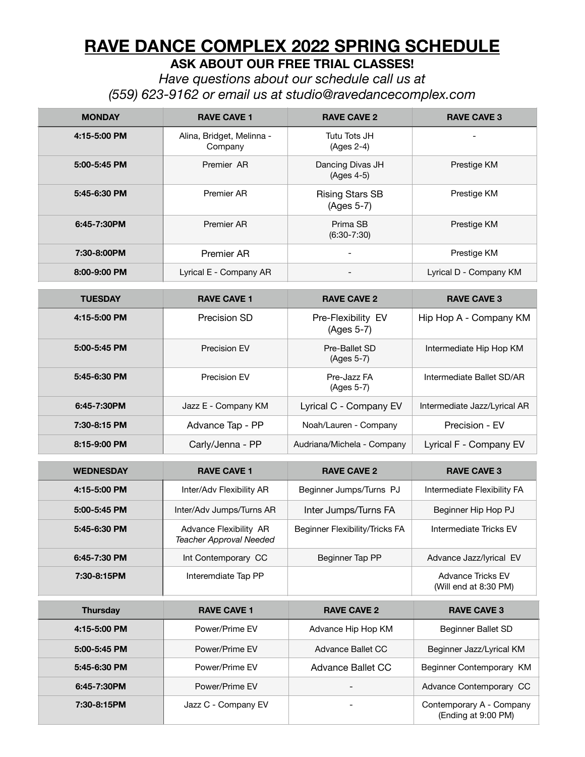# **RAVE DANCE COMPLEX 2022 SPRING SCHEDULE**

**ASK ABOUT OUR FREE TRIAL CLASSES!** 

*Have questions about our schedule call us at (559) 623-9162 or email us at [studio@ravedancecomplex.com](mailto:studio@ravedancecomplex.com)* 

| <b>MONDAY</b>    | <b>RAVE CAVE 1</b>                                       | <b>RAVE CAVE 2</b>                   | <b>RAVE CAVE 3</b>                                |
|------------------|----------------------------------------------------------|--------------------------------------|---------------------------------------------------|
| 4:15-5:00 PM     | Alina, Bridget, Melinna -<br>Company                     | Tutu Tots JH<br>$(Ages 2-4)$         |                                                   |
| 5:00-5:45 PM     | Premier AR                                               | Dancing Divas JH<br>(Ages 4-5)       | Prestige KM                                       |
| 5:45-6:30 PM     | Premier AR                                               | <b>Rising Stars SB</b><br>(Ages 5-7) | Prestige KM                                       |
| 6:45-7:30PM      | Premier AR                                               | Prima SB<br>$(6:30-7:30)$            | Prestige KM                                       |
| 7:30-8:00PM      | Premier AR                                               |                                      | Prestige KM                                       |
| 8:00-9:00 PM     | Lyrical E - Company AR                                   |                                      | Lyrical D - Company KM                            |
| <b>TUESDAY</b>   | <b>RAVE CAVE 1</b>                                       | <b>RAVE CAVE 2</b>                   | <b>RAVE CAVE 3</b>                                |
| 4:15-5:00 PM     | Precision SD                                             | Pre-Flexibility EV<br>(Ages 5-7)     | Hip Hop A - Company KM                            |
| 5:00-5:45 PM     | Precision EV                                             | Pre-Ballet SD<br>(Ages 5-7)          | Intermediate Hip Hop KM                           |
| 5:45-6:30 PM     | Precision EV                                             | Pre-Jazz FA<br>(Ages 5-7)            | Intermediate Ballet SD/AR                         |
| 6:45-7:30PM      | Jazz E - Company KM                                      | Lyrical C - Company EV               | Intermediate Jazz/Lyrical AR                      |
| 7:30-8:15 PM     | Advance Tap - PP                                         | Noah/Lauren - Company                | Precision - EV                                    |
| 8:15-9:00 PM     | Carly/Jenna - PP                                         | Audriana/Michela - Company           | Lyrical F - Company EV                            |
| <b>WEDNESDAY</b> | <b>RAVE CAVE 1</b>                                       | <b>RAVE CAVE 2</b>                   | <b>RAVE CAVE 3</b>                                |
| 4:15-5:00 PM     | Inter/Adv Flexibility AR                                 | Beginner Jumps/Turns PJ              | Intermediate Flexibility FA                       |
| 5:00-5:45 PM     | Inter/Adv Jumps/Turns AR                                 | Inter Jumps/Turns FA                 | Beginner Hip Hop PJ                               |
| 5:45-6:30 PM     | Advance Flexibility AR<br><b>Teacher Approval Needed</b> | Beginner Flexibility/Tricks FA       | Intermediate Tricks EV                            |
| 6:45-7:30 PM     | Int Contemporary CC                                      | Beginner Tap PP                      | Advance Jazz/lyrical EV                           |
| 7:30-8:15PM      | Interemdiate Tap PP                                      |                                      | <b>Advance Tricks EV</b><br>(Will end at 8:30 PM) |
| <b>Thursday</b>  | <b>RAVE CAVE 1</b>                                       | <b>RAVE CAVE 2</b>                   | <b>RAVE CAVE 3</b>                                |
| 4:15-5:00 PM     | Power/Prime EV                                           | Advance Hip Hop KM                   | Beginner Ballet SD                                |
| 5:00-5:45 PM     | Power/Prime EV                                           | Advance Ballet CC                    | Beginner Jazz/Lyrical KM                          |
| 5:45-6:30 PM     | Power/Prime EV                                           | Advance Ballet CC                    | Beginner Contemporary KM                          |
| 6:45-7:30PM      | Power/Prime EV                                           |                                      | Advance Contemporary CC                           |
| 7:30-8:15PM      | Jazz C - Company EV                                      |                                      | Contemporary A - Company<br>(Ending at 9:00 PM)   |